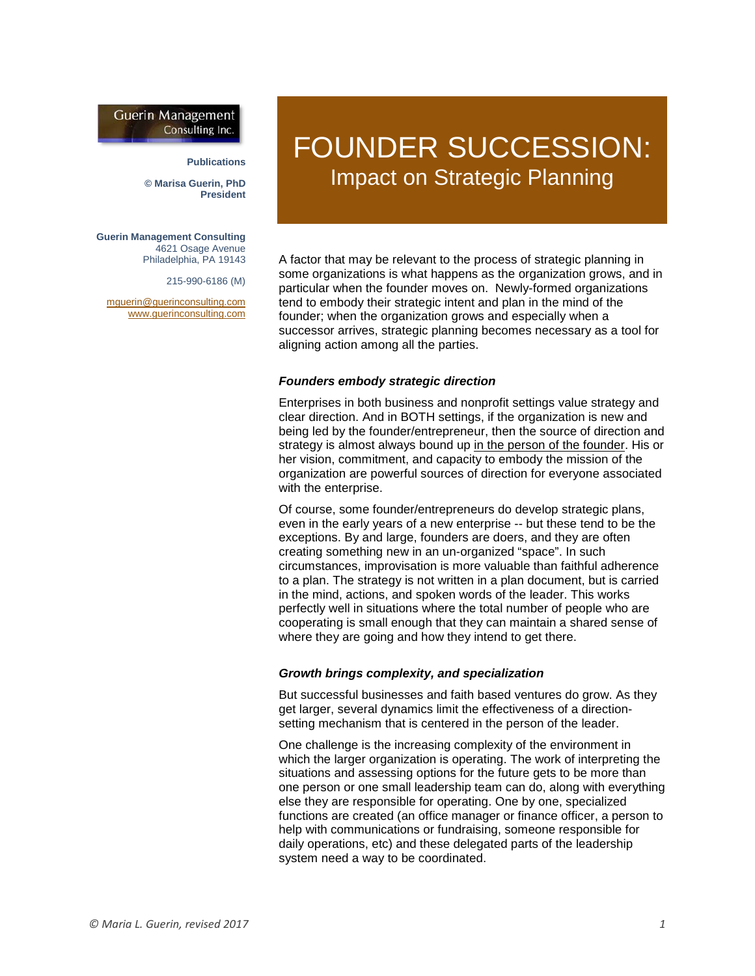## **Guerin Management** Consulting Inc.

#### **Publications**

**© Marisa Guerin, PhD President**

**Guerin Management Consulting** 4621 Osage Avenue Philadelphia, PA 19143

215-990-6186 (M)

[mguerin@guerinconsulting.com](mailto:mguerin@guerinconsulting.com) [www.guerinconsulting.com](http://www.guerinconsulting.com/)

# FOUNDER SUCCESSION: Impact on Strategic Planning

A factor that may be relevant to the process of strategic planning in some organizations is what happens as the organization grows, and in particular when the founder moves on. Newly-formed organizations tend to embody their strategic intent and plan in the mind of the founder; when the organization grows and especially when a successor arrives, strategic planning becomes necessary as a tool for aligning action among all the parties.

#### *Founders embody strategic direction*

Enterprises in both business and nonprofit settings value strategy and clear direction. And in BOTH settings, if the organization is new and being led by the founder/entrepreneur, then the source of direction and strategy is almost always bound up in the person of the founder. His or her vision, commitment, and capacity to embody the mission of the organization are powerful sources of direction for everyone associated with the enterprise.

Of course, some founder/entrepreneurs do develop strategic plans, even in the early years of a new enterprise -- but these tend to be the exceptions. By and large, founders are doers, and they are often creating something new in an un-organized "space". In such circumstances, improvisation is more valuable than faithful adherence to a plan. The strategy is not written in a plan document, but is carried in the mind, actions, and spoken words of the leader. This works perfectly well in situations where the total number of people who are cooperating is small enough that they can maintain a shared sense of where they are going and how they intend to get there.

#### *Growth brings complexity, and specialization*

But successful businesses and faith based ventures do grow. As they get larger, several dynamics limit the effectiveness of a directionsetting mechanism that is centered in the person of the leader.

One challenge is the increasing complexity of the environment in which the larger organization is operating. The work of interpreting the situations and assessing options for the future gets to be more than one person or one small leadership team can do, along with everything else they are responsible for operating. One by one, specialized functions are created (an office manager or finance officer, a person to help with communications or fundraising, someone responsible for daily operations, etc) and these delegated parts of the leadership system need a way to be coordinated.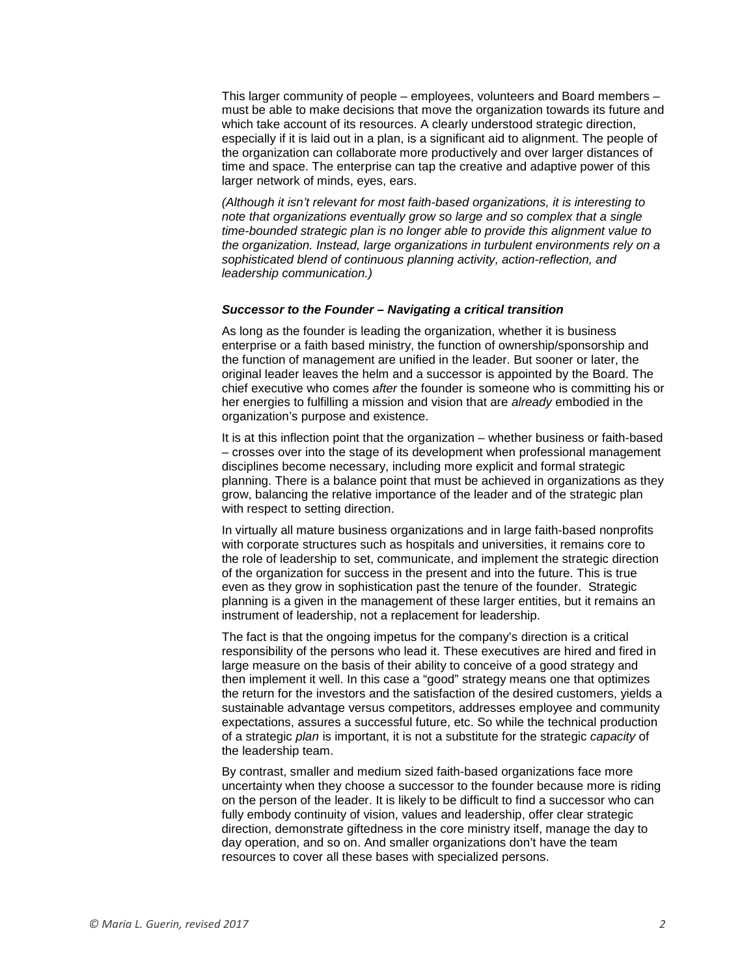This larger community of people – employees, volunteers and Board members – must be able to make decisions that move the organization towards its future and which take account of its resources. A clearly understood strategic direction, especially if it is laid out in a plan, is a significant aid to alignment. The people of the organization can collaborate more productively and over larger distances of time and space. The enterprise can tap the creative and adaptive power of this larger network of minds, eyes, ears.

*(Although it isn't relevant for most faith-based organizations, it is interesting to note that organizations eventually grow so large and so complex that a single time-bounded strategic plan is no longer able to provide this alignment value to the organization. Instead, large organizations in turbulent environments rely on a sophisticated blend of continuous planning activity, action-reflection, and leadership communication.)*

#### *Successor to the Founder – Navigating a critical transition*

As long as the founder is leading the organization, whether it is business enterprise or a faith based ministry, the function of ownership/sponsorship and the function of management are unified in the leader. But sooner or later, the original leader leaves the helm and a successor is appointed by the Board. The chief executive who comes *after* the founder is someone who is committing his or her energies to fulfilling a mission and vision that are *already* embodied in the organization's purpose and existence.

It is at this inflection point that the organization – whether business or faith-based – crosses over into the stage of its development when professional management disciplines become necessary, including more explicit and formal strategic planning. There is a balance point that must be achieved in organizations as they grow, balancing the relative importance of the leader and of the strategic plan with respect to setting direction.

In virtually all mature business organizations and in large faith-based nonprofits with corporate structures such as hospitals and universities, it remains core to the role of leadership to set, communicate, and implement the strategic direction of the organization for success in the present and into the future. This is true even as they grow in sophistication past the tenure of the founder. Strategic planning is a given in the management of these larger entities, but it remains an instrument of leadership, not a replacement for leadership.

The fact is that the ongoing impetus for the company's direction is a critical responsibility of the persons who lead it. These executives are hired and fired in large measure on the basis of their ability to conceive of a good strategy and then implement it well. In this case a "good" strategy means one that optimizes the return for the investors and the satisfaction of the desired customers, yields a sustainable advantage versus competitors, addresses employee and community expectations, assures a successful future, etc. So while the technical production of a strategic *plan* is important, it is not a substitute for the strategic *capacity* of the leadership team.

By contrast, smaller and medium sized faith-based organizations face more uncertainty when they choose a successor to the founder because more is riding on the person of the leader. It is likely to be difficult to find a successor who can fully embody continuity of vision, values and leadership, offer clear strategic direction, demonstrate giftedness in the core ministry itself, manage the day to day operation, and so on. And smaller organizations don't have the team resources to cover all these bases with specialized persons.